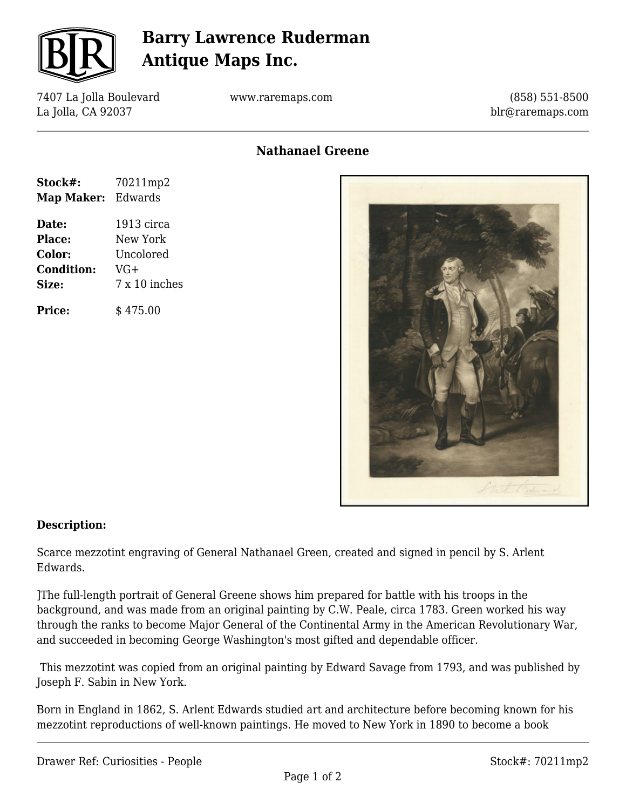

## **Barry Lawrence Ruderman Antique Maps Inc.**

7407 La Jolla Boulevard La Jolla, CA 92037

www.raremaps.com

(858) 551-8500 blr@raremaps.com

## **Nathanael Greene**

| Stock#:           | 70211mp2      |
|-------------------|---------------|
| Map Maker:        | Edwards       |
| Date:             | 1913 circa    |
| <b>Place:</b>     | New York      |
| Color:            | Uncolored     |
| <b>Condition:</b> | VG+           |
| Size:             | 7 x 10 inches |
| <b>Price:</b>     | \$475.00      |



#### **Description:**

Scarce mezzotint engraving of General Nathanael Green, created and signed in pencil by S. Arlent Edwards.

]The full-length portrait of General Greene shows him prepared for battle with his troops in the background, and was made from an original painting by C.W. Peale, circa 1783. Green worked his way through the ranks to become Major General of the Continental Army in the American Revolutionary War, and succeeded in becoming George Washington's most gifted and dependable officer.

 This mezzotint was copied from an original painting by Edward Savage from 1793, and was published by Joseph F. Sabin in New York.

Born in England in 1862, S. Arlent Edwards studied art and architecture before becoming known for his mezzotint reproductions of well-known paintings. He moved to New York in 1890 to become a book